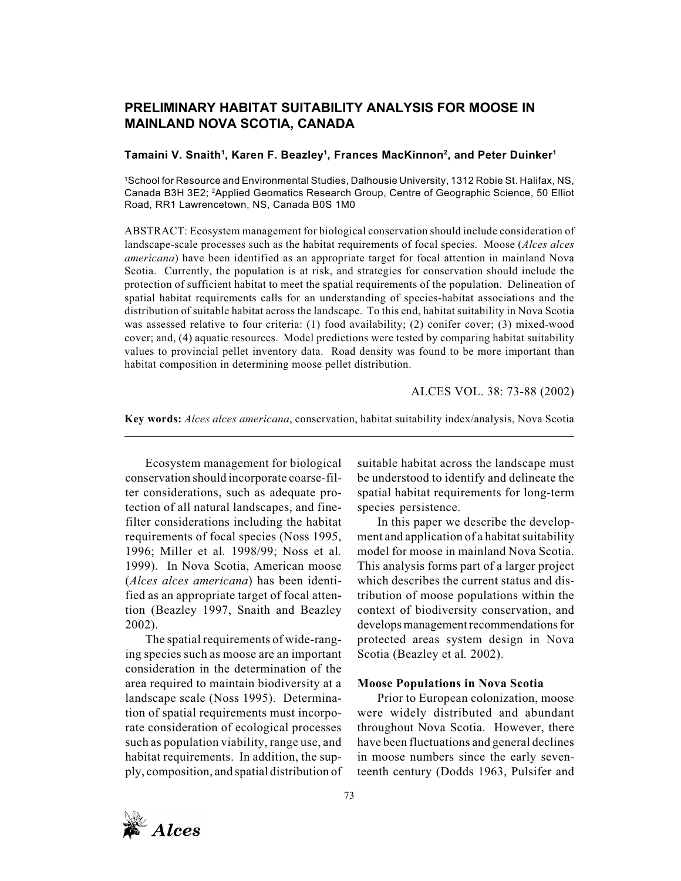# **PRELIMINARY HABITAT SUITABILITY ANALYSIS FOR MOOSE IN MAINLAND NOVA SCOTIA, CANADA**

## **Tamaini V. Snaith1 , Karen F. Beazley1 , Frances MacKinnon2 , and Peter Duinker1**

1 School for Resource and Environmental Studies, Dalhousie University, 1312 Robie St. Halifax, NS, Canada B3H 3E2; 2Applied Geomatics Research Group, Centre of Geographic Science, 50 Elliot Road, RR1 Lawrencetown, NS, Canada B0S 1M0

ABSTRACT: Ecosystem management for biological conservation should include consideration of landscape-scale processes such as the habitat requirements of focal species. Moose (*Alces alces americana*) have been identified as an appropriate target for focal attention in mainland Nova Scotia. Currently, the population is at risk, and strategies for conservation should include the protection of sufficient habitat to meet the spatial requirements of the population. Delineation of spatial habitat requirements calls for an understanding of species-habitat associations and the distribution of suitable habitat across the landscape. To this end, habitat suitability in Nova Scotia was assessed relative to four criteria: (1) food availability; (2) conifer cover; (3) mixed-wood cover; and, (4) aquatic resources. Model predictions were tested by comparing habitat suitability values to provincial pellet inventory data. Road density was found to be more important than habitat composition in determining moose pellet distribution.

ALCES VOL. 38: 73-88 (2002)

**Key words:** *Alces alces americana*, conservation, habitat suitability index/analysis, Nova Scotia

Ecosystem management for biological conservation should incorporate coarse-filter considerations, such as adequate protection of all natural landscapes, and finefilter considerations including the habitat requirements of focal species (Noss 1995, 1996; Miller et al*.* 1998/99; Noss et al*.* 1999). In Nova Scotia, American moose (*Alces alces americana*) has been identified as an appropriate target of focal attention (Beazley 1997, Snaith and Beazley 2002).

The spatial requirements of wide-ranging species such as moose are an important consideration in the determination of the area required to maintain biodiversity at a landscape scale (Noss 1995). Determination of spatial requirements must incorporate consideration of ecological processes such as population viability, range use, and habitat requirements. In addition, the supply, composition, and spatial distribution of suitable habitat across the landscape must be understood to identify and delineate the spatial habitat requirements for long-term species persistence.

In this paper we describe the development and application of a habitat suitability model for moose in mainland Nova Scotia. This analysis forms part of a larger project which describes the current status and distribution of moose populations within the context of biodiversity conservation, and develops management recommendations for protected areas system design in Nova Scotia (Beazley et al*.* 2002).

#### **Moose Populations in Nova Scotia**

Prior to European colonization, moose were widely distributed and abundant throughout Nova Scotia. However, there have been fluctuations and general declines in moose numbers since the early seventeenth century (Dodds 1963, Pulsifer and

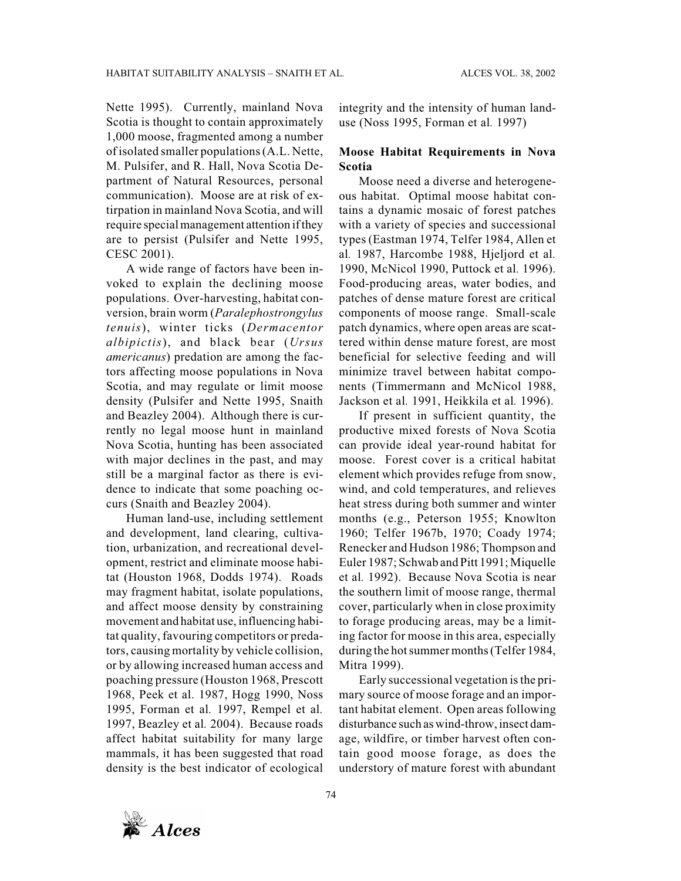Nette 1995). Currently, mainland Nova Scotia is thought to contain approximately 1,000 moose, fragmented among a number of isolated smaller populations (A.L. Nette, M. Pulsifer, and R. Hall, Nova Scotia Department of Natural Resources, personal communication). Moose are at risk of extirpation in mainland Nova Scotia, and will require special management attention if they are to persist (Pulsifer and Nette 1995, CESC 2001).

A wide range of factors have been invoked to explain the declining moose populations. Over-harvesting, habitat conversion, brain worm (*Paralephostrongylus tenuis*), winter ticks (*Dermacentor albipictis*), and black bear (*Ursus americanus*) predation are among the factors affecting moose populations in Nova Scotia, and may regulate or limit moose density (Pulsifer and Nette 1995, Snaith and Beazley 2004). Although there is currently no legal moose hunt in mainland Nova Scotia, hunting has been associated with major declines in the past, and may still be a marginal factor as there is evidence to indicate that some poaching occurs (Snaith and Beazley 2004).

Human land-use, including settlement and development, land clearing, cultivation, urbanization, and recreational development, restrict and eliminate moose habitat (Houston 1968, Dodds 1974). Roads may fragment habitat, isolate populations, and affect moose density by constraining movement and habitat use, influencing habitat quality, favouring competitors or predators, causing mortality by vehicle collision, or by allowing increased human access and poaching pressure (Houston 1968, Prescott 1968, Peek et al. 1987, Hogg 1990, Noss 1995, Forman et al*.* 1997, Rempel et al*.* 1997, Beazley et al*.* 2004). Because roads affect habitat suitability for many large mammals, it has been suggested that road density is the best indicator of ecological

integrity and the intensity of human landuse (Noss 1995, Forman et al*.* 1997)

## **Moose Habitat Requirements in Nova Scotia**

Moose need a diverse and heterogeneous habitat. Optimal moose habitat contains a dynamic mosaic of forest patches with a variety of species and successional types (Eastman 1974, Telfer 1984, Allen et al*.* 1987, Harcombe 1988, Hjeljord et al*.* 1990, McNicol 1990, Puttock et al*.* 1996). Food-producing areas, water bodies, and patches of dense mature forest are critical components of moose range. Small-scale patch dynamics, where open areas are scattered within dense mature forest, are most beneficial for selective feeding and will minimize travel between habitat components (Timmermann and McNicol 1988, Jackson et al*.* 1991, Heikkila et al*.* 1996).

If present in sufficient quantity, the productive mixed forests of Nova Scotia can provide ideal year-round habitat for moose. Forest cover is a critical habitat element which provides refuge from snow, wind, and cold temperatures, and relieves heat stress during both summer and winter months (e.g., Peterson 1955; Knowlton 1960; Telfer 1967b, 1970; Coady 1974; Renecker and Hudson 1986; Thompson and Euler 1987; Schwab and Pitt 1991; Miquelle et al*.* 1992). Because Nova Scotia is near the southern limit of moose range, thermal cover, particularly when in close proximity to forage producing areas, may be a limiting factor for moose in this area, especially during the hot summer months (Telfer 1984, Mitra 1999).

Early successional vegetation is the primary source of moose forage and an important habitat element. Open areas following disturbance such as wind-throw, insect damage, wildfire, or timber harvest often contain good moose forage, as does the understory of mature forest with abundant

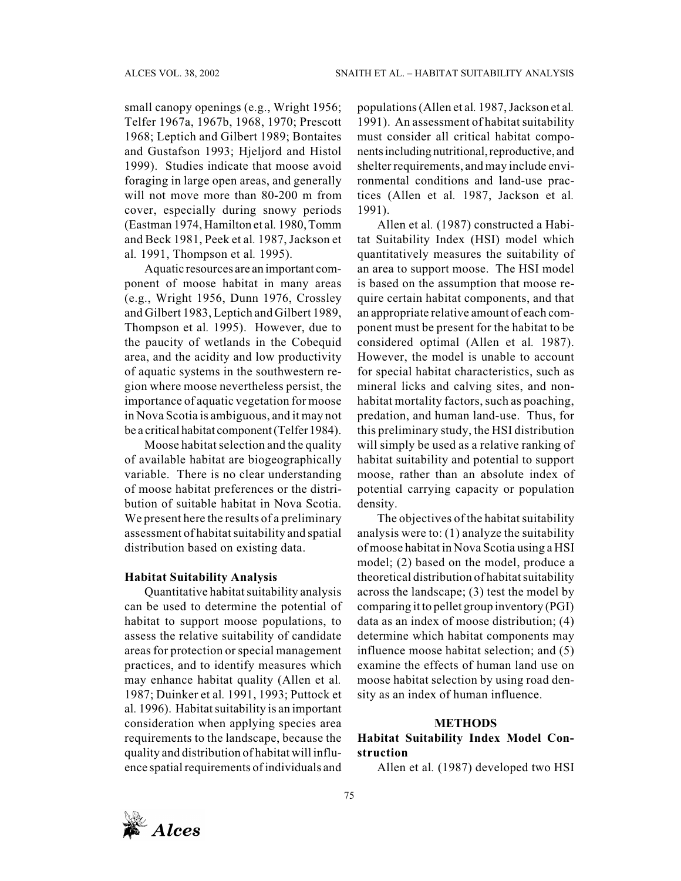small canopy openings (e.g., Wright 1956; Telfer 1967a, 1967b, 1968, 1970; Prescott 1968; Leptich and Gilbert 1989; Bontaites and Gustafson 1993; Hjeljord and Histol 1999). Studies indicate that moose avoid foraging in large open areas, and generally will not move more than 80-200 m from cover, especially during snowy periods (Eastman 1974, Hamilton et al*.* 1980, Tomm and Beck 1981, Peek et al*.* 1987, Jackson et al*.* 1991, Thompson et al*.* 1995).

Aquatic resources are an important component of moose habitat in many areas (e.g., Wright 1956, Dunn 1976, Crossley and Gilbert 1983, Leptich and Gilbert 1989, Thompson et al*.* 1995). However, due to the paucity of wetlands in the Cobequid area, and the acidity and low productivity of aquatic systems in the southwestern region where moose nevertheless persist, the importance of aquatic vegetation for moose in Nova Scotia is ambiguous, and it may not be a critical habitat component (Telfer 1984).

Moose habitat selection and the quality of available habitat are biogeographically variable. There is no clear understanding of moose habitat preferences or the distribution of suitable habitat in Nova Scotia. We present here the results of a preliminary assessment of habitat suitability and spatial distribution based on existing data.

#### **Habitat Suitability Analysis**

Quantitative habitat suitability analysis can be used to determine the potential of habitat to support moose populations, to assess the relative suitability of candidate areas for protection or special management practices, and to identify measures which may enhance habitat quality (Allen et al*.* 1987; Duinker et al*.* 1991, 1993; Puttock et al*.* 1996). Habitat suitability is an important consideration when applying species area requirements to the landscape, because the quality and distribution of habitat will influence spatial requirements of individuals and

populations (Allen et al*.* 1987, Jackson et al*.* 1991). An assessment of habitat suitability must consider all critical habitat components including nutritional, reproductive, and shelter requirements, and may include environmental conditions and land-use practices (Allen et al*.* 1987, Jackson et al*.* 1991).

Allen et al*.* (1987) constructed a Habitat Suitability Index (HSI) model which quantitatively measures the suitability of an area to support moose. The HSI model is based on the assumption that moose require certain habitat components, and that an appropriate relative amount of each component must be present for the habitat to be considered optimal (Allen et al*.* 1987). However, the model is unable to account for special habitat characteristics, such as mineral licks and calving sites, and nonhabitat mortality factors, such as poaching, predation, and human land-use. Thus, for this preliminary study, the HSI distribution will simply be used as a relative ranking of habitat suitability and potential to support moose, rather than an absolute index of potential carrying capacity or population density.

The objectives of the habitat suitability analysis were to: (1) analyze the suitability of moose habitat in Nova Scotia using a HSI model; (2) based on the model, produce a theoretical distribution of habitat suitability across the landscape; (3) test the model by comparing it to pellet group inventory (PGI) data as an index of moose distribution; (4) determine which habitat components may influence moose habitat selection; and (5) examine the effects of human land use on moose habitat selection by using road density as an index of human influence.

#### **METHODS**

## **Habitat Suitability Index Model Construction**

Allen et al*.* (1987) developed two HSI

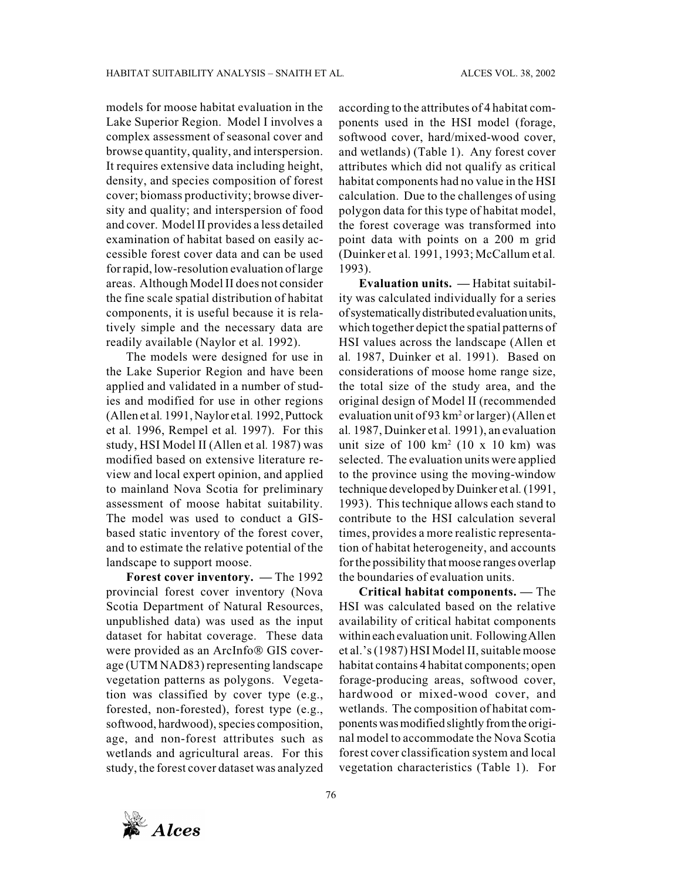models for moose habitat evaluation in the Lake Superior Region. Model I involves a complex assessment of seasonal cover and browse quantity, quality, and interspersion. It requires extensive data including height, density, and species composition of forest cover; biomass productivity; browse diversity and quality; and interspersion of food and cover. Model II provides a less detailed examination of habitat based on easily accessible forest cover data and can be used for rapid, low-resolution evaluation of large areas. Although Model II does not consider the fine scale spatial distribution of habitat components, it is useful because it is relatively simple and the necessary data are readily available (Naylor et al*.* 1992).

The models were designed for use in the Lake Superior Region and have been applied and validated in a number of studies and modified for use in other regions (Allen et al*.* 1991, Naylor et al*.* 1992, Puttock et al*.* 1996, Rempel et al*.* 1997). For this study, HSI Model II (Allen et al*.* 1987) was modified based on extensive literature review and local expert opinion, and applied to mainland Nova Scotia for preliminary assessment of moose habitat suitability. The model was used to conduct a GISbased static inventory of the forest cover, and to estimate the relative potential of the landscape to support moose.

**Forest cover inventory. —** The 1992 provincial forest cover inventory (Nova Scotia Department of Natural Resources, unpublished data) was used as the input dataset for habitat coverage. These data were provided as an ArcInfo® GIS coverage (UTM NAD83) representing landscape vegetation patterns as polygons. Vegetation was classified by cover type (e.g., forested, non-forested), forest type (e.g., softwood, hardwood), species composition, age, and non-forest attributes such as wetlands and agricultural areas. For this study, the forest cover dataset was analyzed

according to the attributes of 4 habitat components used in the HSI model (forage, softwood cover, hard/mixed-wood cover, and wetlands) (Table 1). Any forest cover attributes which did not qualify as critical habitat components had no value in the HSI calculation. Due to the challenges of using polygon data for this type of habitat model, the forest coverage was transformed into point data with points on a 200 m grid (Duinker et al*.* 1991, 1993; McCallum et al*.* 1993).

**Evaluation units. —** Habitat suitability was calculated individually for a series of systematically distributed evaluation units, which together depict the spatial patterns of HSI values across the landscape (Allen et al*.* 1987, Duinker et al. 1991). Based on considerations of moose home range size, the total size of the study area, and the original design of Model II (recommended evaluation unit of 93 km<sup>2</sup> or larger) (Allen et al*.* 1987, Duinker et al*.* 1991), an evaluation unit size of  $100 \text{ km}^2$  (10 x 10 km) was selected. The evaluation units were applied to the province using the moving-window technique developed by Duinker et al*.* (1991, 1993). This technique allows each stand to contribute to the HSI calculation several times, provides a more realistic representation of habitat heterogeneity, and accounts for the possibility that moose ranges overlap the boundaries of evaluation units.

**Critical habitat components. —** The HSI was calculated based on the relative availability of critical habitat components within each evaluation unit. Following Allen et al.'s (1987) HSI Model II, suitable moose habitat contains 4 habitat components; open forage-producing areas, softwood cover, hardwood or mixed-wood cover, and wetlands. The composition of habitat components was modified slightly from the original model to accommodate the Nova Scotia forest cover classification system and local vegetation characteristics (Table 1). For

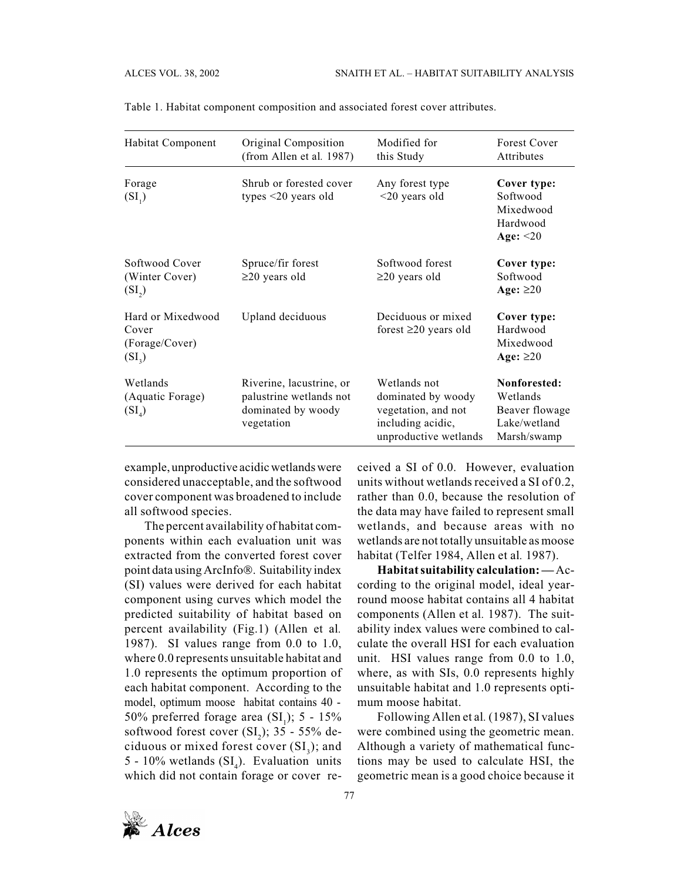| Habitat Component                                        | Original Composition<br>(from Allen et al. 1987)                                        | Modified for<br>this Study                                                                              | Forest Cover<br>Attributes                                                |
|----------------------------------------------------------|-----------------------------------------------------------------------------------------|---------------------------------------------------------------------------------------------------------|---------------------------------------------------------------------------|
| Forage<br>$(SI_1)$                                       | Shrub or forested cover<br>types $\leq$ 20 years old                                    | Any forest type<br>$<$ 20 years old                                                                     | Cover type:<br>Softwood<br>Mixedwood<br>Hardwood<br>Age: $\leq$ 20        |
| Softwood Cover<br>(Winter Cover)<br>$(SI_{2})$           | Spruce/fir forest<br>$\geq$ 20 years old                                                | Softwood forest<br>$\geq$ 20 years old                                                                  | Cover type:<br>Softwood<br>Age: $\geq$ 20                                 |
| Hard or Mixedwood<br>Cover<br>(Forage/Cover)<br>$(SI_3)$ | Upland deciduous                                                                        | Deciduous or mixed<br>forest $\geq 20$ years old                                                        | Cover type:<br>Hardwood<br>Mixedwood<br>Age: $\geq 20$                    |
| Wetlands<br>(Aquatic Forage)<br>$(SI_A)$                 | Riverine, lacustrine, or<br>palustrine wetlands not<br>dominated by woody<br>vegetation | Wetlands not<br>dominated by woody<br>vegetation, and not<br>including acidic,<br>unproductive wetlands | Nonforested:<br>Wetlands<br>Beaver flowage<br>Lake/wetland<br>Marsh/swamp |

Table 1. Habitat component composition and associated forest cover attributes.

example, unproductive acidic wetlands were considered unacceptable, and the softwood cover component was broadened to include all softwood species.

The percent availability of habitat components within each evaluation unit was extracted from the converted forest cover point data using ArcInfo®. Suitability index (SI) values were derived for each habitat component using curves which model the predicted suitability of habitat based on percent availability (Fig.1) (Allen et al*.* 1987). SI values range from 0.0 to 1.0, where 0.0 represents unsuitable habitat and 1.0 represents the optimum proportion of each habitat component. According to the model, optimum moose habitat contains 40 - 50% preferred forage area  $(SI<sub>1</sub>)$ ; 5 - 15% softwood forest cover  $(SI_2)$ ; 35 - 55% deciduous or mixed forest cover  $(SI_3)$ ; and 5 - 10% wetlands  $(SI<sub>4</sub>)$ . Evaluation units which did not contain forage or cover re-

ceived a SI of 0.0. However, evaluation units without wetlands received a SI of 0.2, rather than 0.0, because the resolution of the data may have failed to represent small wetlands, and because areas with no wetlands are not totally unsuitable as moose habitat (Telfer 1984, Allen et al*.* 1987).

**Habitat suitability calculation: —**According to the original model, ideal yearround moose habitat contains all 4 habitat components (Allen et al*.* 1987). The suitability index values were combined to calculate the overall HSI for each evaluation unit. HSI values range from 0.0 to 1.0, where, as with SIs, 0.0 represents highly unsuitable habitat and 1.0 represents optimum moose habitat.

Following Allen et al*.* (1987), SI values were combined using the geometric mean. Although a variety of mathematical functions may be used to calculate HSI, the geometric mean is a good choice because it

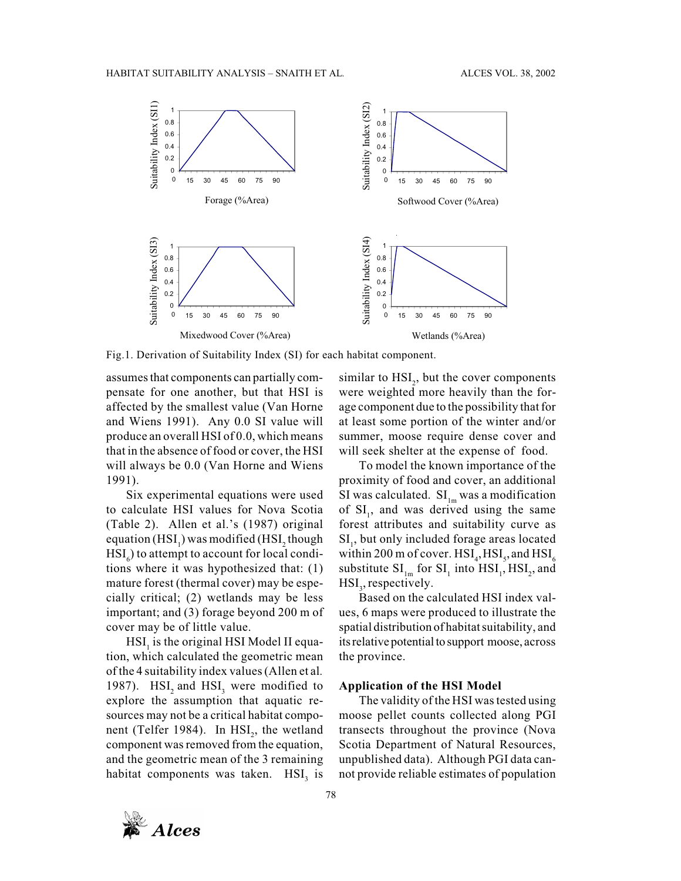

Fig.1. Derivation of Suitability Index (SI) for each habitat component.

assumes that components can partially compensate for one another, but that HSI is affected by the smallest value (Van Horne and Wiens 1991). Any 0.0 SI value will produce an overall HSI of 0.0, which means that in the absence of food or cover, the HSI will always be 0.0 (Van Horne and Wiens 1991).

Six experimental equations were used to calculate HSI values for Nova Scotia (Table 2). Allen et al.'s (1987) original equation (HSI<sub>1</sub>) was modified (HSI<sub>2</sub> though  $\mathrm{HSI}_6$ ) to attempt to account for local conditions where it was hypothesized that: (1) mature forest (thermal cover) may be especially critical; (2) wetlands may be less important; and (3) forage beyond 200 m of cover may be of little value.

 $\operatorname{HSI}_1$  is the original HSI Model II equation, which calculated the geometric mean of the 4 suitability index values (Allen et al*.* 1987).  $HSI<sub>2</sub>$  and  $HSI<sub>3</sub>$  were modified to explore the assumption that aquatic resources may not be a critical habitat component (Telfer 1984). In  $\text{HSI}_2$ , the wetland component was removed from the equation, and the geometric mean of the 3 remaining habitat components was taken. HSI<sub>3</sub> is

similar to  $\text{HSI}_2$ , but the cover components were weighted more heavily than the forage component due to the possibility that for at least some portion of the winter and/or summer, moose require dense cover and will seek shelter at the expense of food.

To model the known importance of the proximity of food and cover, an additional SI was calculated.  $SI_{lm}$  was a modification of  $SI<sub>1</sub>$ , and was derived using the same forest attributes and suitability curve as SI<sub>1</sub>, but only included forage areas located within 200 m of cover.  $HSI_4$ ,  $HSI_5$ , and  $HSI_6$ substitute  $SI_{lm}$  for  $SI_{l}$  into  $HSI_{l}$ ,  $HSI_{2}$ , and  $\mathrm{HSI}_3$ , respectively.

Based on the calculated HSI index values, 6 maps were produced to illustrate the spatial distribution of habitat suitability, and its relative potential to support moose, across the province.

### **Application of the HSI Model**

The validity of the HSI was tested using moose pellet counts collected along PGI transects throughout the province (Nova Scotia Department of Natural Resources, unpublished data). Although PGI data cannot provide reliable estimates of population

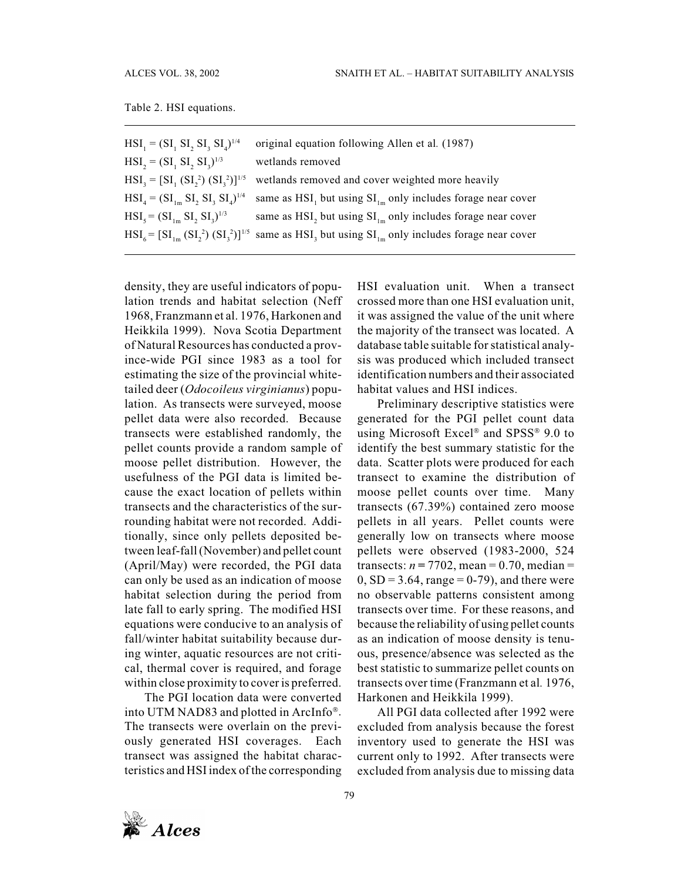|  |  |  | Table 2. HSI equations. |
|--|--|--|-------------------------|
|--|--|--|-------------------------|

| $HSI_{1} = (SI_{1} SI_{2} SI_{3} SI_{4})^{1/4}$  | original equation following Allen et al. (1987)                                                                                     |
|--------------------------------------------------|-------------------------------------------------------------------------------------------------------------------------------------|
| $HSI_2 = (SI_1 SI_2 SI_3)^{1/3}$                 | wetlands removed                                                                                                                    |
| $HSI_3 = [SI_1 (SI_2^2) (SI_3^2)]^{1/5}$         | wetlands removed and cover weighted more heavily                                                                                    |
| $HSI_{4} = (SI_{1m} SI_{2} SI_{3} SI_{4})^{1/4}$ | same as $HSI$ , but using $SI$ <sub>1m</sub> only includes forage near cover                                                        |
| $HSI_{5} = (SI_{1m} SI_{2} SI_{3})^{1/3}$        | same as HSI, but using $SI_{lm}$ only includes forage near cover                                                                    |
|                                                  | $HSI_{\kappa} = [SI_{1m} (SI_{1}^2) (SI_{1}^2)]^{1/5}$ same as HSI <sub>3</sub> but using $SI_{1m}$ only includes forage near cover |

density, they are useful indicators of population trends and habitat selection (Neff 1968, Franzmann et al. 1976, Harkonen and Heikkila 1999). Nova Scotia Department of Natural Resources has conducted a province-wide PGI since 1983 as a tool for estimating the size of the provincial whitetailed deer (*Odocoileus virginianus*) population. As transects were surveyed, moose pellet data were also recorded. Because transects were established randomly, the pellet counts provide a random sample of moose pellet distribution. However, the usefulness of the PGI data is limited because the exact location of pellets within transects and the characteristics of the surrounding habitat were not recorded. Additionally, since only pellets deposited between leaf-fall (November) and pellet count (April/May) were recorded, the PGI data can only be used as an indication of moose habitat selection during the period from late fall to early spring. The modified HSI equations were conducive to an analysis of fall/winter habitat suitability because during winter, aquatic resources are not critical, thermal cover is required, and forage within close proximity to cover is preferred.

The PGI location data were converted into UTM NAD83 and plotted in ArcInfo®. The transects were overlain on the previously generated HSI coverages. Each transect was assigned the habitat characteristics and HSI index of the corresponding

HSI evaluation unit. When a transect crossed more than one HSI evaluation unit, it was assigned the value of the unit where the majority of the transect was located. A database table suitable for statistical analysis was produced which included transect identification numbers and their associated habitat values and HSI indices.

Preliminary descriptive statistics were generated for the PGI pellet count data using Microsoft Excel® and SPSS® 9.0 to identify the best summary statistic for the data. Scatter plots were produced for each transect to examine the distribution of moose pellet counts over time. Many transects (67.39%) contained zero moose pellets in all years. Pellet counts were generally low on transects where moose pellets were observed (1983-2000, 524 transects:  $n = 7702$ , mean = 0.70, median =  $0, SD = 3.64$ , range = 0-79), and there were no observable patterns consistent among transects over time. For these reasons, and because the reliability of using pellet counts as an indication of moose density is tenuous, presence/absence was selected as the best statistic to summarize pellet counts on transects over time (Franzmann et al*.* 1976, Harkonen and Heikkila 1999).

All PGI data collected after 1992 were excluded from analysis because the forest inventory used to generate the HSI was current only to 1992. After transects were excluded from analysis due to missing data

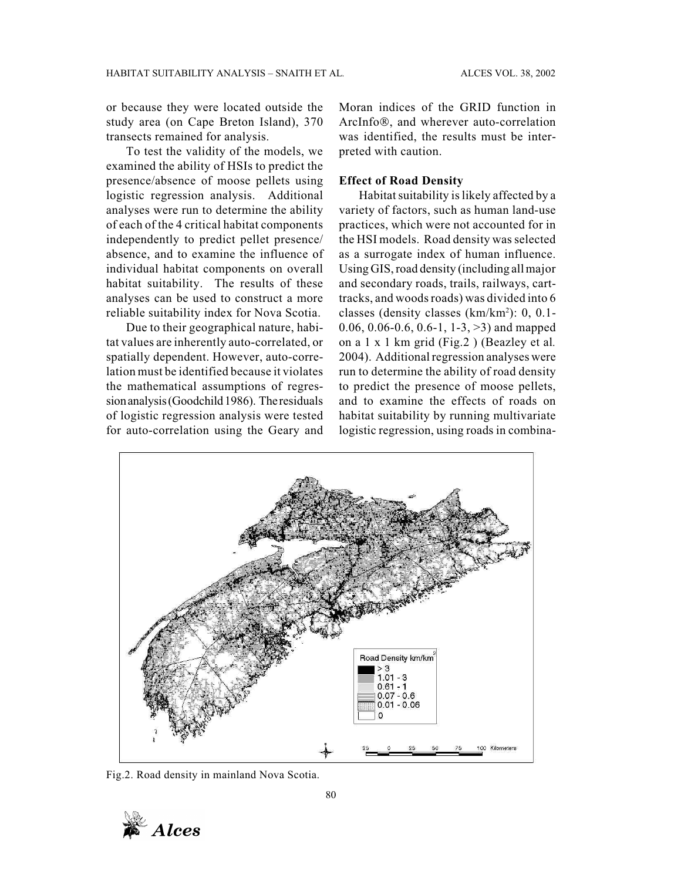or because they were located outside the study area (on Cape Breton Island), 370 transects remained for analysis.

To test the validity of the models, we examined the ability of HSIs to predict the presence/absence of moose pellets using logistic regression analysis. Additional analyses were run to determine the ability of each of the 4 critical habitat components independently to predict pellet presence/ absence, and to examine the influence of individual habitat components on overall habitat suitability. The results of these analyses can be used to construct a more reliable suitability index for Nova Scotia.

Due to their geographical nature, habitat values are inherently auto-correlated, or spatially dependent. However, auto-correlation must be identified because it violates the mathematical assumptions of regression analysis (Goodchild 1986). The residuals of logistic regression analysis were tested for auto-correlation using the Geary and

Moran indices of the GRID function in ArcInfo®, and wherever auto-correlation was identified, the results must be interpreted with caution.

#### **Effect of Road Density**

Habitat suitability is likely affected by a variety of factors, such as human land-use practices, which were not accounted for in the HSI models. Road density was selected as a surrogate index of human influence. Using GIS, road density (including all major and secondary roads, trails, railways, carttracks, and woods roads) was divided into 6 classes (density classes (km/km2 ): 0, 0.1- 0.06, 0.06-0.6, 0.6-1, 1-3,  $>3$ ) and mapped on a 1 x 1 km grid (Fig.2 ) (Beazley et al*.* 2004). Additional regression analyses were run to determine the ability of road density to predict the presence of moose pellets, and to examine the effects of roads on habitat suitability by running multivariate logistic regression, using roads in combina-



Fig.2. Road density in mainland Nova Scotia.

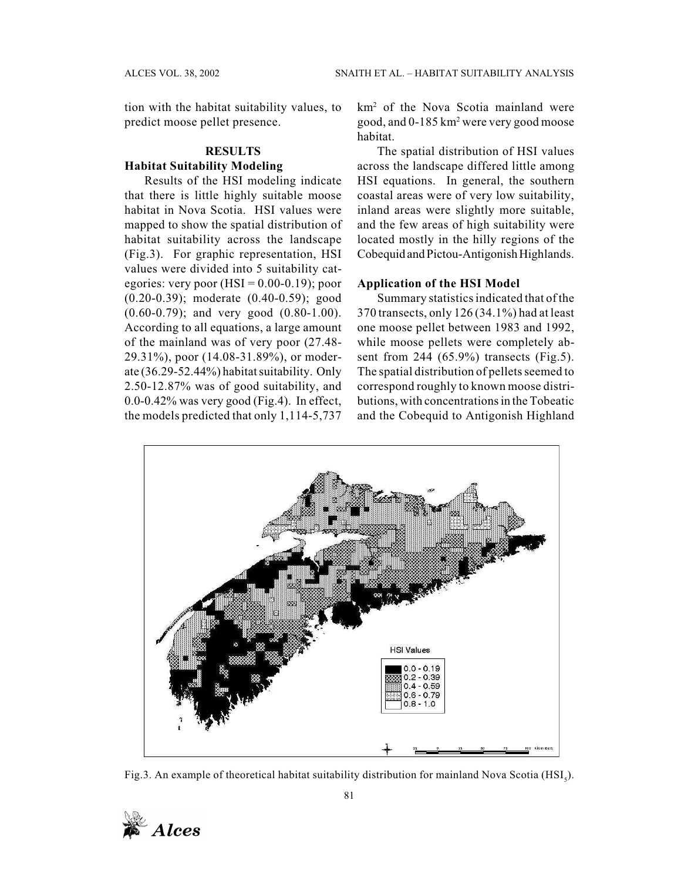tion with the habitat suitability values, to predict moose pellet presence.

#### **RESULTS**

## **Habitat Suitability Modeling**

Results of the HSI modeling indicate that there is little highly suitable moose habitat in Nova Scotia. HSI values were mapped to show the spatial distribution of habitat suitability across the landscape (Fig.3). For graphic representation, HSI values were divided into 5 suitability categories: very poor  $(HSI = 0.00-0.19)$ ; poor (0.20-0.39); moderate (0.40-0.59); good (0.60-0.79); and very good (0.80-1.00). According to all equations, a large amount of the mainland was of very poor (27.48- 29.31%), poor (14.08-31.89%), or moderate (36.29-52.44%) habitat suitability. Only 2.50-12.87% was of good suitability, and 0.0-0.42% was very good (Fig.4). In effect, the models predicted that only 1,114-5,737

km2 of the Nova Scotia mainland were good, and 0-185 km2 were very good moose habitat.

The spatial distribution of HSI values across the landscape differed little among HSI equations. In general, the southern coastal areas were of very low suitability, inland areas were slightly more suitable, and the few areas of high suitability were located mostly in the hilly regions of the Cobequid and Pictou-Antigonish Highlands.

## **Application of the HSI Model**

Summary statistics indicated that of the 370 transects, only 126 (34.1%) had at least one moose pellet between 1983 and 1992, while moose pellets were completely absent from 244 (65.9%) transects (Fig.5). The spatial distribution of pellets seemed to correspond roughly to known moose distributions, with concentrations in the Tobeatic and the Cobequid to Antigonish Highland



Fig.3. An example of theoretical habitat suitability distribution for mainland Nova Scotia (HSI<sub>5</sub>).

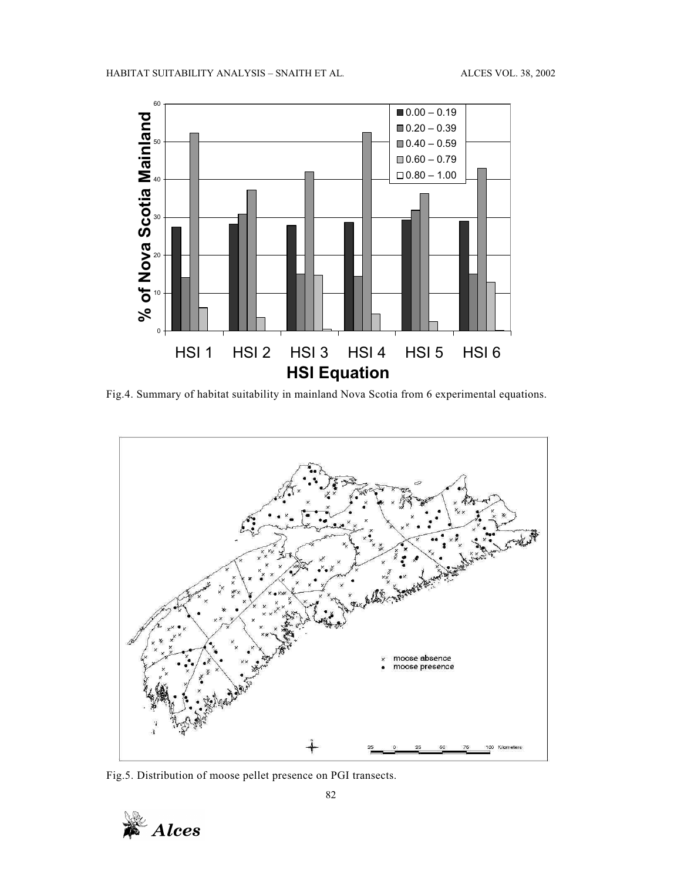

Fig.4. Summary of habitat suitability in mainland Nova Scotia from 6 experimental equations.



Fig.5. Distribution of moose pellet presence on PGI transects.

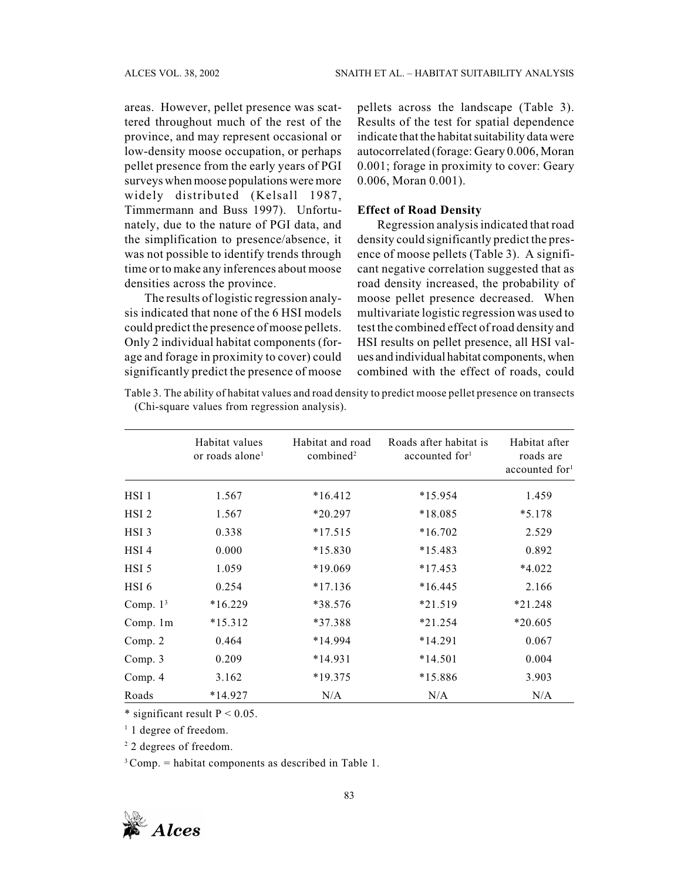areas. However, pellet presence was scattered throughout much of the rest of the province, and may represent occasional or low-density moose occupation, or perhaps pellet presence from the early years of PGI surveys when moose populations were more widely distributed (Kelsall 1987, Timmermann and Buss 1997). Unfortunately, due to the nature of PGI data, and the simplification to presence/absence, it was not possible to identify trends through time or to make any inferences about moose densities across the province.

The results of logistic regression analysis indicated that none of the 6 HSI models could predict the presence of moose pellets. Only 2 individual habitat components (forage and forage in proximity to cover) could significantly predict the presence of moose

pellets across the landscape (Table 3). Results of the test for spatial dependence indicate that the habitat suitability data were autocorrelated (forage: Geary 0.006, Moran 0.001; forage in proximity to cover: Geary 0.006, Moran 0.001).

## **Effect of Road Density**

Regression analysis indicated that road density could significantly predict the presence of moose pellets (Table 3). A significant negative correlation suggested that as road density increased, the probability of moose pellet presence decreased. When multivariate logistic regression was used to test the combined effect of road density and HSI results on pellet presence, all HSI values and individual habitat components, when combined with the effect of roads, could

| Table 3. The ability of habitat values and road density to predict moose pellet presence on transects |  |  |
|-------------------------------------------------------------------------------------------------------|--|--|
| (Chi-square values from regression analysis).                                                         |  |  |

|                  | Habitat values<br>or roads alone <sup>1</sup> | Habitat and road<br>combined <sup>2</sup> | Roads after habitat is<br>accounted for | Habitat after<br>roads are<br>accounted for <sup>1</sup> |
|------------------|-----------------------------------------------|-------------------------------------------|-----------------------------------------|----------------------------------------------------------|
| HSI 1            | 1.567                                         | $*16.412$                                 | $*15.954$                               | 1.459                                                    |
| HSI <sub>2</sub> | 1.567                                         | $*20.297$                                 | $*18.085$                               | $*5.178$                                                 |
| HSI <sub>3</sub> | 0.338                                         | $*17.515$                                 | $*16.702$                               | 2.529                                                    |
| HSI <sub>4</sub> | 0.000                                         | $*15.830$                                 | $*15.483$                               | 0.892                                                    |
| HSI 5            | 1.059                                         | $*19.069$                                 | $*17.453$                               | $*4.022$                                                 |
| HSI 6            | 0.254                                         | $*17.136$                                 | $*16.445$                               | 2.166                                                    |
| Comp. $13$       | $*16.229$                                     | *38.576                                   | $*21.519$                               | $*21.248$                                                |
| Comp. 1m         | $*15.312$                                     | *37.388                                   | $*21.254$                               | $*20.605$                                                |
| Comp. 2          | 0.464                                         | $*14.994$                                 | $*14.291$                               | 0.067                                                    |
| Comp. 3          | 0.209                                         | $*14.931$                                 | $*14.501$                               | 0.004                                                    |
| Comp. 4          | 3.162                                         | $*19.375$                                 | $*15.886$                               | 3.903                                                    |
| Roads            | $*14.927$                                     | N/A                                       | N/A                                     | N/A                                                      |

\* significant result  $P < 0.05$ .

<sup>1</sup> 1 degree of freedom.

<sup>2</sup> 2 degrees of freedom.

 $3$  Comp. = habitat components as described in Table 1.

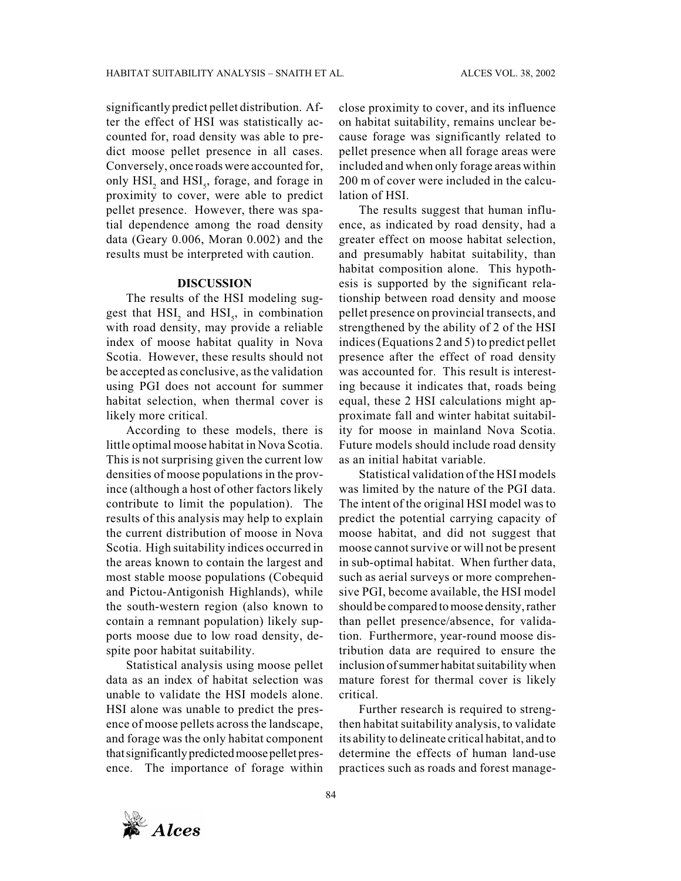significantly predict pellet distribution. After the effect of HSI was statistically accounted for, road density was able to predict moose pellet presence in all cases. Conversely, once roads were accounted for, only  $\text{HSI}_2$  and  $\text{HSI}_5$ , forage, and forage in proximity to cover, were able to predict pellet presence. However, there was spatial dependence among the road density data (Geary 0.006, Moran 0.002) and the results must be interpreted with caution.

## **DISCUSSION**

The results of the HSI modeling suggest that  $HSI_2$  and  $HSI_5$ , in combination with road density, may provide a reliable index of moose habitat quality in Nova Scotia. However, these results should not be accepted as conclusive, as the validation using PGI does not account for summer habitat selection, when thermal cover is likely more critical.

According to these models, there is little optimal moose habitat in Nova Scotia. This is not surprising given the current low densities of moose populations in the province (although a host of other factors likely contribute to limit the population). The results of this analysis may help to explain the current distribution of moose in Nova Scotia. High suitability indices occurred in the areas known to contain the largest and most stable moose populations (Cobequid and Pictou-Antigonish Highlands), while the south-western region (also known to contain a remnant population) likely supports moose due to low road density, despite poor habitat suitability.

Statistical analysis using moose pellet data as an index of habitat selection was unable to validate the HSI models alone. HSI alone was unable to predict the presence of moose pellets across the landscape, and forage was the only habitat component that significantly predicted moose pellet presence. The importance of forage within

close proximity to cover, and its influence on habitat suitability, remains unclear because forage was significantly related to pellet presence when all forage areas were included and when only forage areas within 200 m of cover were included in the calculation of HSI.

The results suggest that human influence, as indicated by road density, had a greater effect on moose habitat selection, and presumably habitat suitability, than habitat composition alone. This hypothesis is supported by the significant relationship between road density and moose pellet presence on provincial transects, and strengthened by the ability of 2 of the HSI indices (Equations 2 and 5) to predict pellet presence after the effect of road density was accounted for. This result is interesting because it indicates that, roads being equal, these 2 HSI calculations might approximate fall and winter habitat suitability for moose in mainland Nova Scotia. Future models should include road density as an initial habitat variable.

Statistical validation of the HSI models was limited by the nature of the PGI data. The intent of the original HSI model was to predict the potential carrying capacity of moose habitat, and did not suggest that moose cannot survive or will not be present in sub-optimal habitat. When further data, such as aerial surveys or more comprehensive PGI, become available, the HSI model should be compared to moose density, rather than pellet presence/absence, for validation. Furthermore, year-round moose distribution data are required to ensure the inclusion of summer habitat suitability when mature forest for thermal cover is likely critical.

Further research is required to strengthen habitat suitability analysis, to validate its ability to delineate critical habitat, and to determine the effects of human land-use practices such as roads and forest manage-

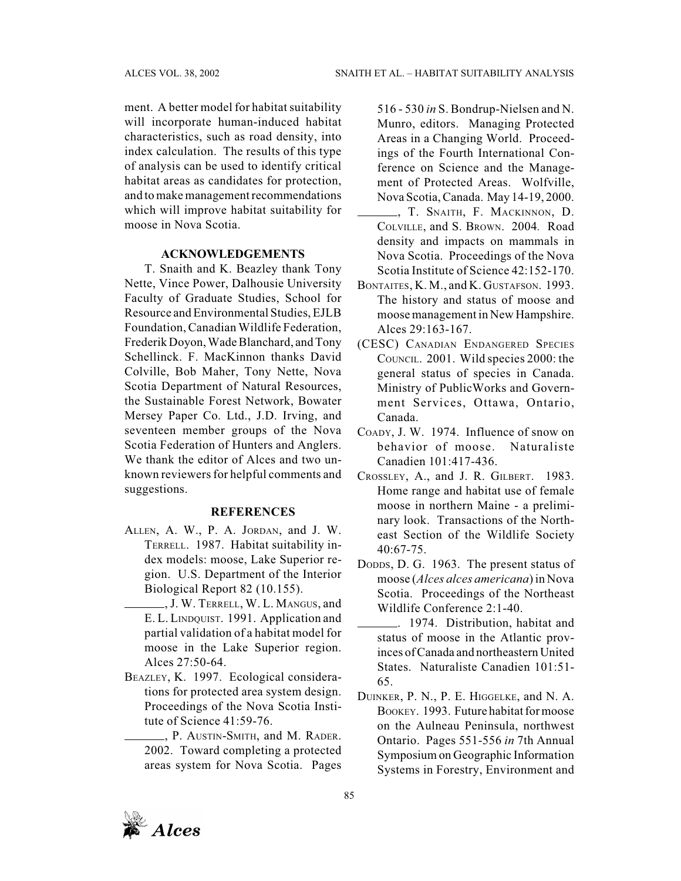ment. A better model for habitat suitability will incorporate human-induced habitat characteristics, such as road density, into index calculation. The results of this type of analysis can be used to identify critical habitat areas as candidates for protection, and to make management recommendations which will improve habitat suitability for moose in Nova Scotia.

## **ACKNOWLEDGEMENTS**

T. Snaith and K. Beazley thank Tony Nette, Vince Power, Dalhousie University Faculty of Graduate Studies, School for Resource and Environmental Studies, EJLB Foundation, Canadian Wildlife Federation, Frederik Doyon, Wade Blanchard, and Tony Schellinck. F. MacKinnon thanks David Colville, Bob Maher, Tony Nette, Nova Scotia Department of Natural Resources, the Sustainable Forest Network, Bowater Mersey Paper Co. Ltd., J.D. Irving, and seventeen member groups of the Nova Scotia Federation of Hunters and Anglers. We thank the editor of Alces and two unknown reviewers for helpful comments and suggestions.

## **REFERENCES**

- ALLEN, A. W., P. A. JORDAN, and J. W. TERRELL. 1987. Habitat suitability index models: moose, Lake Superior region. U.S. Department of the Interior Biological Report 82 (10.155).
- , J. W. TERRELL, W. L. MANGUS, and E. L. LINDQUIST. 1991. Application and partial validation of a habitat model for moose in the Lake Superior region. Alces 27:50-64.
- BEAZLEY, K. 1997. Ecological considerations for protected area system design. Proceedings of the Nova Scotia Institute of Science 41:59-76.
	- , P. AUSTIN-SMITH, and M. RADER. 2002. Toward completing a protected areas system for Nova Scotia. Pages

516 - 530 *in* S. Bondrup-Nielsen and N. Munro, editors. Managing Protected Areas in a Changing World. Proceedings of the Fourth International Conference on Science and the Management of Protected Areas. Wolfville, Nova Scotia, Canada. May 14-19, 2000.

- , T. SNAITH, F. MACKINNON, D. COLVILLE, and S. BROWN. 2004*.* Road density and impacts on mammals in Nova Scotia. Proceedings of the Nova Scotia Institute of Science 42:152-170.
- BONTAITES, K. M., and K. GUSTAFSON. 1993. The history and status of moose and moose management in New Hampshire. Alces 29:163-167.
- (CESC) CANADIAN ENDANGERED SPECIES COUNCIL. 2001. Wild species 2000: the general status of species in Canada. Ministry of PublicWorks and Government Services, Ottawa, Ontario, Canada.
- COADY, J. W. 1974. Influence of snow on behavior of moose. Naturaliste Canadien 101:417-436.
- CROSSLEY, A., and J. R. GILBERT. 1983. Home range and habitat use of female moose in northern Maine - a preliminary look. Transactions of the Northeast Section of the Wildlife Society 40:67-75.
- DODDS, D. G. 1963. The present status of moose (*Alces alces americana*) in Nova Scotia. Proceedings of the Northeast Wildlife Conference 2:1-40.
- . 1974. Distribution, habitat and status of moose in the Atlantic provinces of Canada and northeastern United States. Naturaliste Canadien 101:51- 65.
- DUINKER, P. N., P. E. HIGGELKE, and N. A. BOOKEY. 1993. Future habitat for moose on the Aulneau Peninsula, northwest Ontario. Pages 551-556 *in* 7th Annual Symposium on Geographic Information Systems in Forestry, Environment and

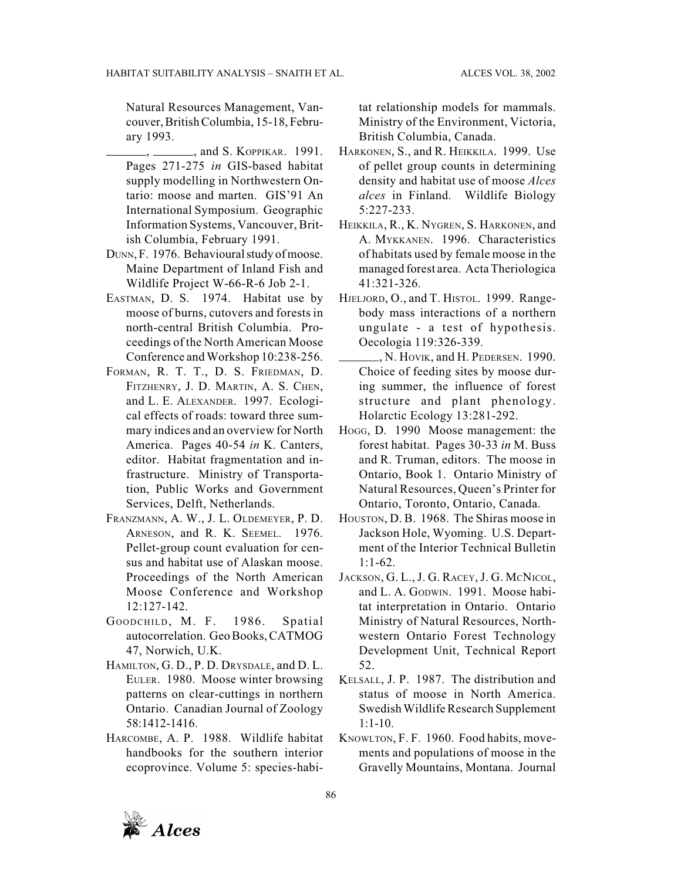Natural Resources Management, Vancouver, British Columbia, 15-18, February 1993.

- , \_\_\_\_\_\_, and S. KOPPIKAR. 1991. Pages 271-275 *in* GIS-based habitat supply modelling in Northwestern Ontario: moose and marten. GIS'91 An International Symposium. Geographic Information Systems, Vancouver, British Columbia, February 1991.
- DUNN, F. 1976. Behavioural study of moose. Maine Department of Inland Fish and Wildlife Project W-66-R-6 Job 2-1.
- EASTMAN, D. S. 1974. Habitat use by moose of burns, cutovers and forests in north-central British Columbia. Proceedings of the North American Moose Conference and Workshop 10:238-256.
- FORMAN, R. T. T., D. S. FRIEDMAN, D. FITZHENRY, J. D. MARTIN, A. S. CHEN, and L. E. ALEXANDER. 1997. Ecological effects of roads: toward three summary indices and an overview for North America. Pages 40-54 *in* K. Canters, editor. Habitat fragmentation and infrastructure. Ministry of Transportation, Public Works and Government Services, Delft, Netherlands.
- FRANZMANN, A. W., J. L. OLDEMEYER, P. D. ARNESON, and R. K. SEEMEL. 1976. Pellet-group count evaluation for census and habitat use of Alaskan moose. Proceedings of the North American Moose Conference and Workshop 12:127-142.
- GOODCHILD, M. F. 1986. Spatial autocorrelation. Geo Books, CATMOG 47, Norwich, U.K.
- HAMILTON, G. D., P. D. DRYSDALE, and D. L. EULER. 1980. Moose winter browsing patterns on clear-cuttings in northern Ontario. Canadian Journal of Zoology 58:1412-1416.
- HARCOMBE, A. P. 1988. Wildlife habitat handbooks for the southern interior ecoprovince. Volume 5: species-habi-

tat relationship models for mammals. Ministry of the Environment, Victoria, British Columbia, Canada.

- HARKONEN, S., and R. HEIKKILA. 1999. Use of pellet group counts in determining density and habitat use of moose *Alces alces* in Finland. Wildlife Biology 5:227-233.
- HEIKKILA, R., K. NYGREN, S. HARKONEN, and A. MYKKANEN. 1996. Characteristics of habitats used by female moose in the managed forest area. Acta Theriologica 41:321-326.
- HJELJORD, O., and T. HISTOL. 1999. Rangebody mass interactions of a northern ungulate - a test of hypothesis. Oecologia 119:326-339.
- , N. HOVIK, and H. PEDERSEN. 1990. Choice of feeding sites by moose during summer, the influence of forest structure and plant phenology. Holarctic Ecology 13:281-292.
- HOGG, D. 1990 Moose management: the forest habitat. Pages 30-33 *in* M. Buss and R. Truman, editors. The moose in Ontario, Book 1. Ontario Ministry of Natural Resources, Queen's Printer for Ontario, Toronto, Ontario, Canada.
- HOUSTON, D. B. 1968. The Shiras moose in Jackson Hole, Wyoming. U.S. Department of the Interior Technical Bulletin 1:1-62.
- JACKSON, G. L., J. G. RACEY, J. G. MCNICOL, and L. A. GODWIN. 1991. Moose habitat interpretation in Ontario. Ontario Ministry of Natural Resources, Northwestern Ontario Forest Technology Development Unit, Technical Report 52.
- KELSALL, J. P. 1987. The distribution and status of moose in North America. Swedish Wildlife Research Supplement  $1:1-10.$
- KNOWLTON, F. F. 1960. Food habits, movements and populations of moose in the Gravelly Mountains, Montana. Journal

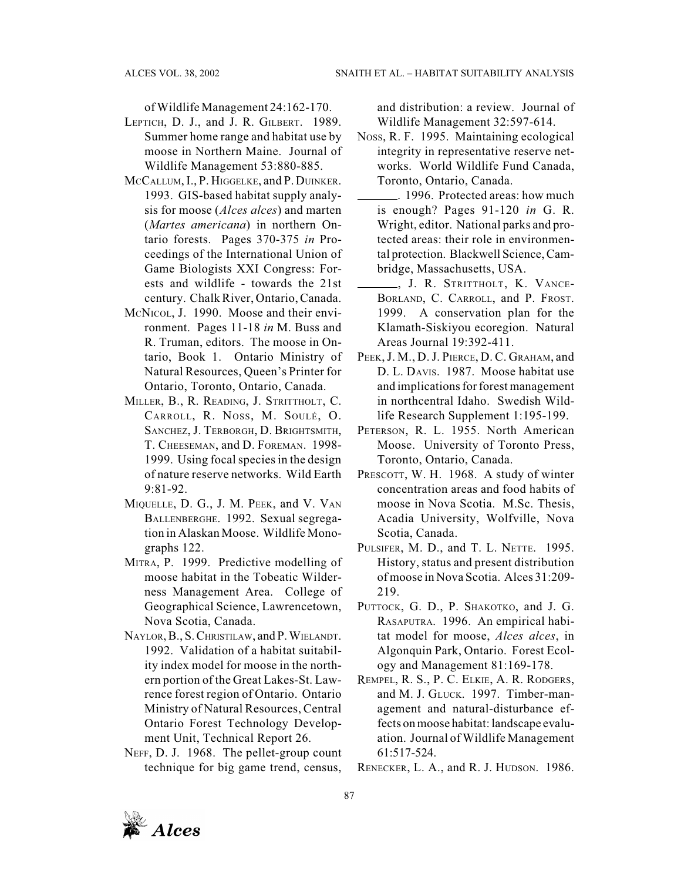of Wildlife Management 24:162-170.

- LEPTICH, D. J., and J. R. GILBERT. 1989. Summer home range and habitat use by moose in Northern Maine. Journal of Wildlife Management 53:880-885.
- MCCALLUM, I., P. HIGGELKE, and P. DUINKER. 1993. GIS-based habitat supply analysis for moose (*Alces alces*) and marten (*Martes americana*) in northern Ontario forests. Pages 370-375 *in* Proceedings of the International Union of Game Biologists XXI Congress: Forests and wildlife - towards the 21st century. Chalk River, Ontario, Canada.
- MCNICOL, J. 1990. Moose and their environment. Pages 11-18 *in* M. Buss and R. Truman, editors. The moose in Ontario, Book 1. Ontario Ministry of Natural Resources, Queen's Printer for Ontario, Toronto, Ontario, Canada.
- MILLER, B., R. READING, J. STRITTHOLT, C. CARROLL, R. NOSS, M. SOULÉ, O. SANCHEZ, J. TERBORGH, D. BRIGHTSMITH, T. CHEESEMAN, and D. FOREMAN. 1998- 1999. Using focal species in the design of nature reserve networks. Wild Earth 9:81-92.
- MIQUELLE, D. G., J. M. PEEK, and V. VAN BALLENBERGHE. 1992. Sexual segregation in Alaskan Moose. Wildlife Monographs 122.
- MITRA, P. 1999. Predictive modelling of moose habitat in the Tobeatic Wilderness Management Area. College of Geographical Science, Lawrencetown, Nova Scotia, Canada.
- NAYLOR, B., S. CHRISTILAW, and P. WIELANDT. 1992. Validation of a habitat suitability index model for moose in the northern portion of the Great Lakes-St. Lawrence forest region of Ontario. Ontario Ministry of Natural Resources, Central Ontario Forest Technology Development Unit, Technical Report 26.
- NEFF, D. J. 1968. The pellet-group count technique for big game trend, census,

and distribution: a review. Journal of Wildlife Management 32:597-614.

- NOSS, R. F. 1995. Maintaining ecological integrity in representative reserve networks. World Wildlife Fund Canada, Toronto, Ontario, Canada.
- . 1996. Protected areas: how much is enough? Pages 91-120 *in* G. R. Wright, editor. National parks and protected areas: their role in environmental protection. Blackwell Science, Cambridge, Massachusetts, USA.
- , J. R. STRITTHOLT, K. VANCE-BORLAND, C. CARROLL, and P. FROST. 1999. A conservation plan for the Klamath-Siskiyou ecoregion. Natural Areas Journal 19:392-411.
- PEEK, J. M., D. J. PIERCE, D. C. GRAHAM, and D. L. DAVIS. 1987. Moose habitat use and implications for forest management in northcentral Idaho. Swedish Wildlife Research Supplement 1:195-199.
- PETERSON, R. L. 1955. North American Moose. University of Toronto Press, Toronto, Ontario, Canada.
- PRESCOTT, W. H. 1968. A study of winter concentration areas and food habits of moose in Nova Scotia. M.Sc. Thesis, Acadia University, Wolfville, Nova Scotia, Canada.
- PULSIFER, M. D., and T. L. NETTE. 1995. History, status and present distribution of moose in Nova Scotia. Alces 31:209- 219.
- PUTTOCK, G. D., P. SHAKOTKO, and J. G. RASAPUTRA. 1996. An empirical habitat model for moose, *Alces alces*, in Algonquin Park, Ontario. Forest Ecology and Management 81:169-178.
- REMPEL, R. S., P. C. ELKIE, A. R. RODGERS, and M. J. GLUCK. 1997. Timber-management and natural-disturbance effects on moose habitat: landscape evaluation. Journal of Wildlife Management 61:517-524.
- RENECKER, L. A., and R. J. HUDSON. 1986.